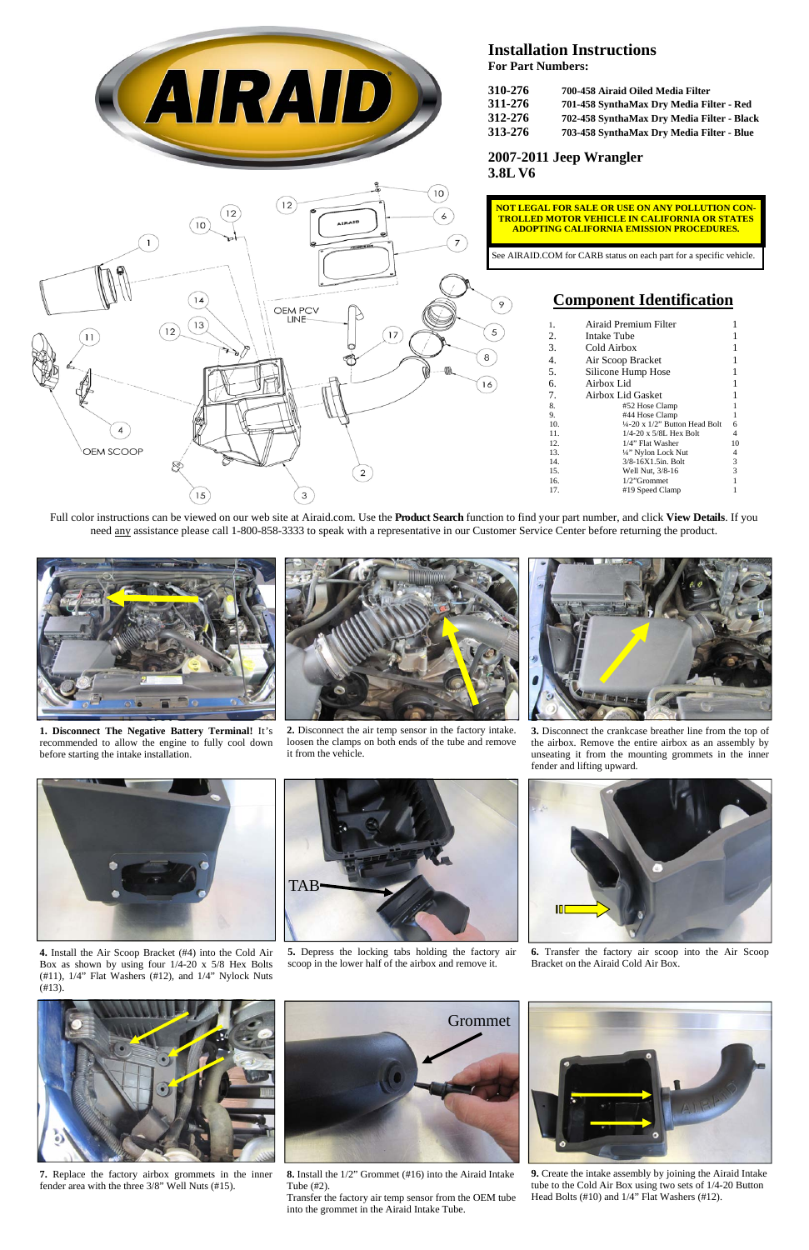

## **Installation Instructions**

**For Part Numbers:** 

| 310-276 | 700-458 Airaid Oiled Media Filter          |
|---------|--------------------------------------------|
| 311-276 | 701-458 SynthaMax Dry Media Filter - Red   |
| 312-276 | 702-458 SynthaMax Dry Media Filter - Black |
| 313-276 | 703-458 SynthaMax Dry Media Filter - Blue  |

**2007-2011 Jeep Wrangler 3.8L V6** 



**2.** Disconnect the air temp sensor in the factory intake. loosen the clamps on both ends of the tube and remove it from the vehicle.



**3.** Disconnect the crankcase breather line from the top of the airbox. Remove the entire airbox as an assembly by unseating it from the mounting grommets in the inner fender and lifting upward.



**4.** Install the Air Scoop Bracket (#4) into the Cold Air Box as shown by using four 1/4-20 x 5/8 Hex Bolts (#11), 1/4" Flat Washers (#12), and 1/4" Nylock Nuts



**5.** Depress the locking tabs holding the factory air scoop in the lower half of the airbox and remove it.



**6.** Transfer the factory air scoop into the Air Scoop Bracket on the Airaid Cold Air Box.



**7.** Replace the factory airbox grommets in the inner fender area with the three 3/8" Well Nuts (#15).

**8.** Install the 1/2" Grommet (#16) into the Airaid Intake Tube (#2).

Transfer the factory air temp sensor from the OEM tube into the grommet in the Airaid Intake Tube.

**9.** Create the intake assembly by joining the Airaid Intake tube to the Cold Air Box using two sets of 1/4-20 Button Head Bolts (#10) and 1/4" Flat Washers (#12).



**1. Disconnect The Negative Battery Terminal!** It's recommended to allow the engine to fully cool down before starting the intake installation.

# **Component Identification**

| 1.  | Airaid Premium Filter                                |    |
|-----|------------------------------------------------------|----|
| 2.  | <b>Intake Tube</b>                                   |    |
| 3.  | Cold Airbox                                          |    |
| 4.  | Air Scoop Bracket                                    |    |
| 5.  | Silicone Hump Hose                                   |    |
| 6.  | Airbox Lid                                           |    |
| 7.  | Airbox Lid Gasket                                    |    |
| 8.  | #52 Hose Clamp                                       | 1  |
| 9.  | #44 Hose Clamp                                       | 1  |
| 10. | $\frac{1}{4}$ -20 x $\frac{1}{2}$ " Button Head Bolt | 6  |
| 11. | $1/4$ -20 x $5/8L$ Hex Bolt                          | 4  |
| 12. | 1/4" Flat Washer                                     | 10 |
| 13. | 1/4" Nylon Lock Nut                                  | 4  |
| 14. | $3/8 - 16X1.5$ in. Bolt                              | 3  |
| 15. | Well Nut, 3/8-16                                     | 3  |
| 16. | 1/2"Grommet                                          |    |
| 17. | #19 Speed Clamp                                      |    |
|     |                                                      |    |







Full color instructions can be viewed on our web site at Airaid.com. Use the **Product Search** function to find your part number, and click **View Details**. If you need any assistance please call 1-800-858-3333 to speak with a representative in our Customer Service Center before returning the product.



See AIRAID.COM for CARB status on each part for a specific vehicle.